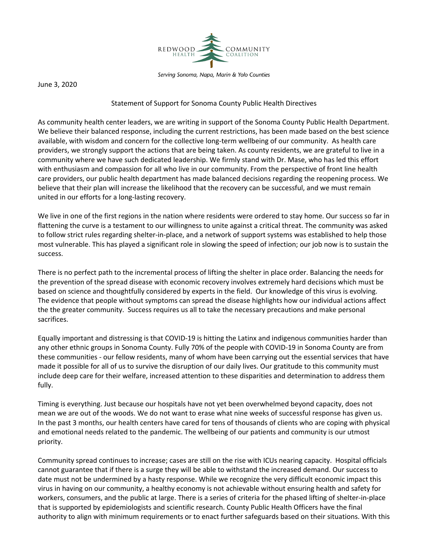

Serving Sonoma, Napa, Marin & Yolo Counties

June 3, 2020

## Statement of Support for Sonoma County Public Health Directives

As community health center leaders, we are writing in support of the Sonoma County Public Health Department. We believe their balanced response, including the current restrictions, has been made based on the best science available, with wisdom and concern for the collective long-term wellbeing of our community. As health care providers, we strongly support the actions that are being taken. As county residents, we are grateful to live in a community where we have such dedicated leadership. We firmly stand with Dr. Mase, who has led this effort with enthusiasm and compassion for all who live in our community. From the perspective of front line health care providers, our public health department has made balanced decisions regarding the reopening process. We believe that their plan will increase the likelihood that the recovery can be successful, and we must remain united in our efforts for a long-lasting recovery.

We live in one of the first regions in the nation where residents were ordered to stay home. Our success so far in flattening the curve is a testament to our willingness to unite against a critical threat. The community was asked to follow strict rules regarding shelter-in-place, and a network of support systems was established to help those most vulnerable. This has played a significant role in slowing the speed of infection; our job now is to sustain the success.

There is no perfect path to the incremental process of lifting the shelter in place order. Balancing the needs for the prevention of the spread disease with economic recovery involves extremely hard decisions which must be based on science and thoughtfully considered by experts in the field. Our knowledge of this virus is evolving. The evidence that people without symptoms can spread the disease highlights how our individual actions affect the the greater community. Success requires us all to take the necessary precautions and make personal sacrifices.

Equally important and distressing is that COVID-19 is hitting the Latinx and indigenous communities harder than any other ethnic groups in Sonoma County. Fully 70% of the people with COVID-19 in Sonoma County are from these communities - our fellow residents, many of whom have been carrying out the essential services that have made it possible for all of us to survive the disruption of our daily lives. Our gratitude to this community must include deep care for their welfare, increased attention to these disparities and determination to address them fully.

Timing is everything. Just because our hospitals have not yet been overwhelmed beyond capacity, does not mean we are out of the woods. We do not want to erase what nine weeks of successful response has given us. In the past 3 months, our health centers have cared for tens of thousands of clients who are coping with physical and emotional needs related to the pandemic. The wellbeing of our patients and community is our utmost priority.

Community spread continues to increase; cases are still on the rise with ICUs nearing capacity. Hospital officials cannot guarantee that if there is a surge they will be able to withstand the increased demand. Our success to date must not be undermined by a hasty response. While we recognize the very difficult economic impact this virus in having on our community, a healthy economy is not achievable without ensuring health and safety for workers, consumers, and the public at large. There is a series of criteria for the phased lifting of shelter-in-place that is supported by epidemiologists and scientific research. County Public Health Officers have the final authority to align with minimum requirements or to enact further safeguards based on their situations. With this